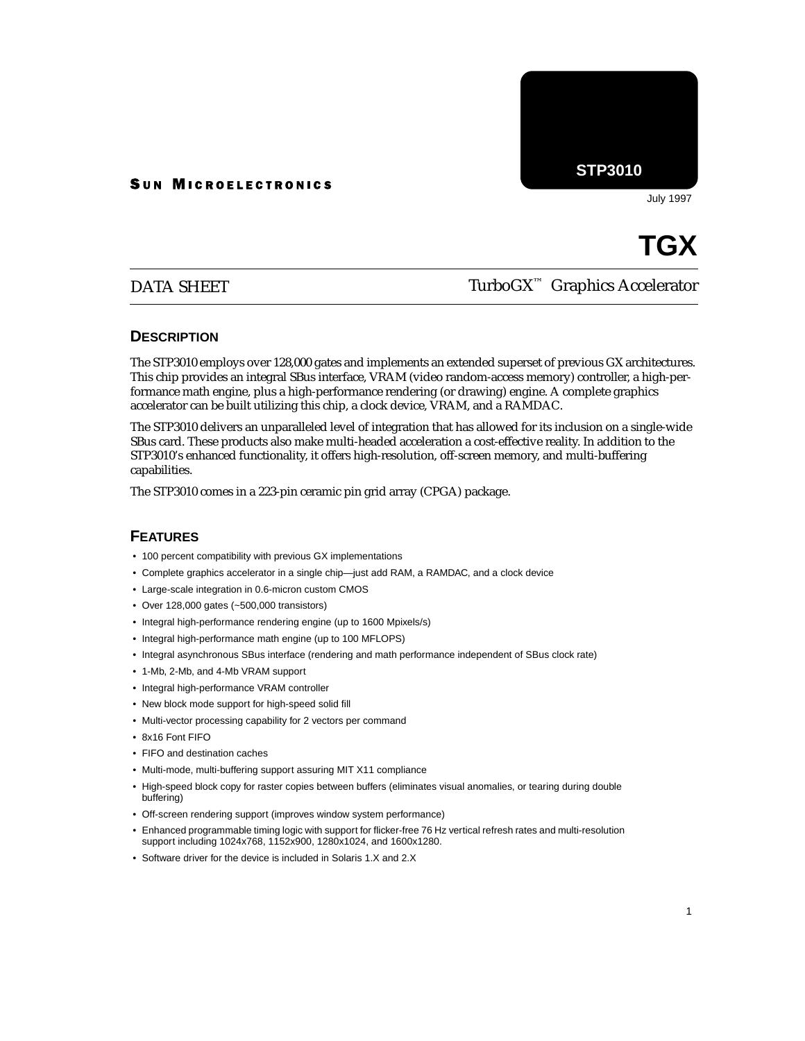#### **SUN MICROELECTRONICS**

**STP3010**

July 1997

# **TGX**

## DATA SHEET

# TurboGX™ Graphics Accelerator

#### **DESCRIPTION**

The STP3010 employs over 128,000 gates and implements an extended superset of previous GX architectures. This chip provides an integral SBus interface, VRAM (video random-access memory) controller, a high-performance math engine, plus a high-performance rendering (or drawing) engine. A complete graphics accelerator can be built utilizing this chip, a clock device, VRAM, and a RAMDAC.

The STP3010 delivers an unparalleled level of integration that has allowed for its inclusion on a single-wide SBus card. These products also make multi-headed acceleration a cost-effective reality. In addition to the STP3010's enhanced functionality, it offers high-resolution, off-screen memory, and multi-buffering capabilities.

The STP3010 comes in a 223-pin ceramic pin grid array (CPGA) package.

### **FEATURES**

- 100 percent compatibility with previous GX implementations
- Complete graphics accelerator in a single chip—just add RAM, a RAMDAC, and a clock device
- Large-scale integration in 0.6-micron custom CMOS
- Over 128,000 gates (~500,000 transistors)
- Integral high-performance rendering engine (up to 1600 Mpixels/s)
- Integral high-performance math engine (up to 100 MFLOPS)
- Integral asynchronous SBus interface (rendering and math performance independent of SBus clock rate)
- 1-Mb, 2-Mb, and 4-Mb VRAM support
- Integral high-performance VRAM controller
- New block mode support for high-speed solid fill
- Multi-vector processing capability for 2 vectors per command
- 8x16 Font FIFO
- FIFO and destination caches
- Multi-mode, multi-buffering support assuring MIT X11 compliance
- High-speed block copy for raster copies between buffers (eliminates visual anomalies, or tearing during double buffering)
- Off-screen rendering support (improves window system performance)
- Enhanced programmable timing logic with support for flicker-free 76 Hz vertical refresh rates and multi-resolution support including 1024x768, 1152x900, 1280x1024, and 1600x1280.
- Software driver for the device is included in Solaris 1.X and 2.X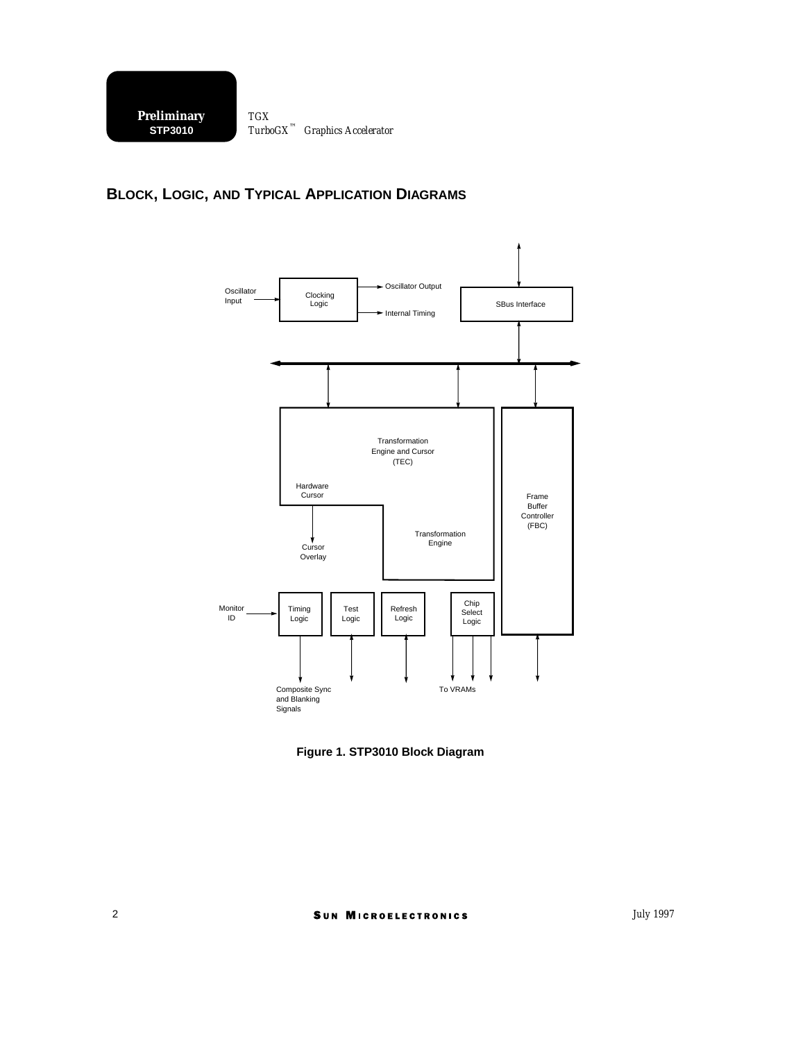## **BLOCK, LOGIC, AND TYPICAL APPLICATION DIAGRAMS**



**Figure 1. STP3010 Block Diagram**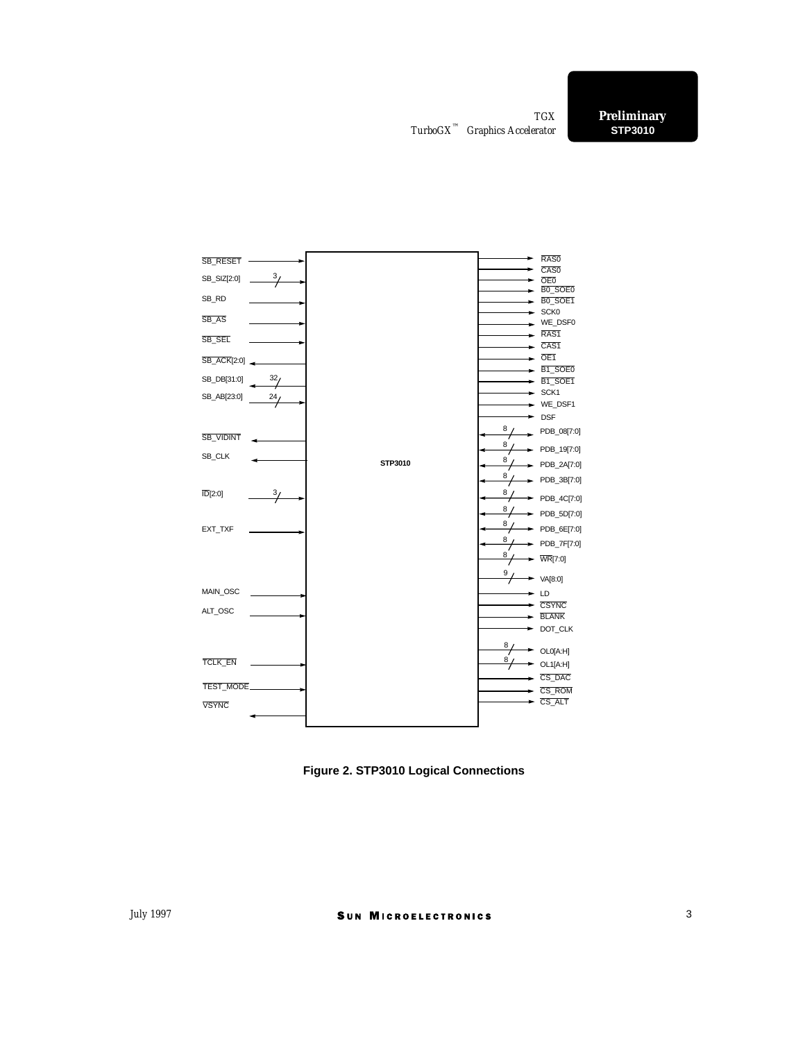

**Figure 2. STP3010 Logical Connections**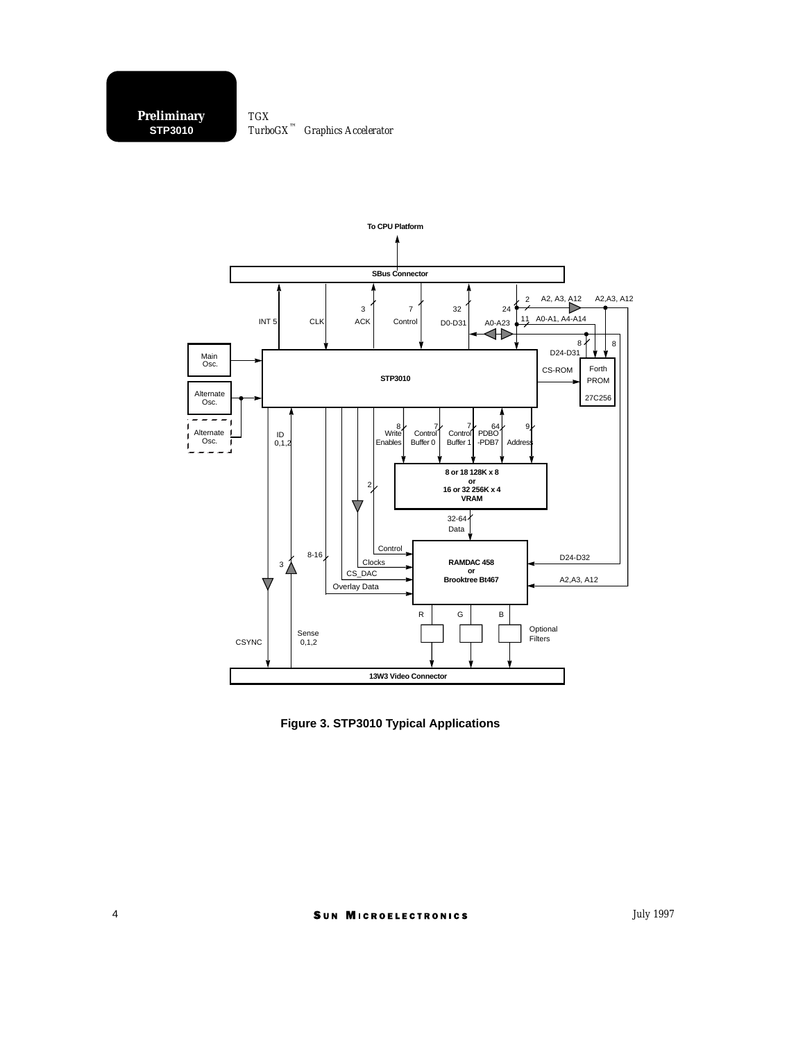

**Figure 3. STP3010 Typical Applications**

*July 1997*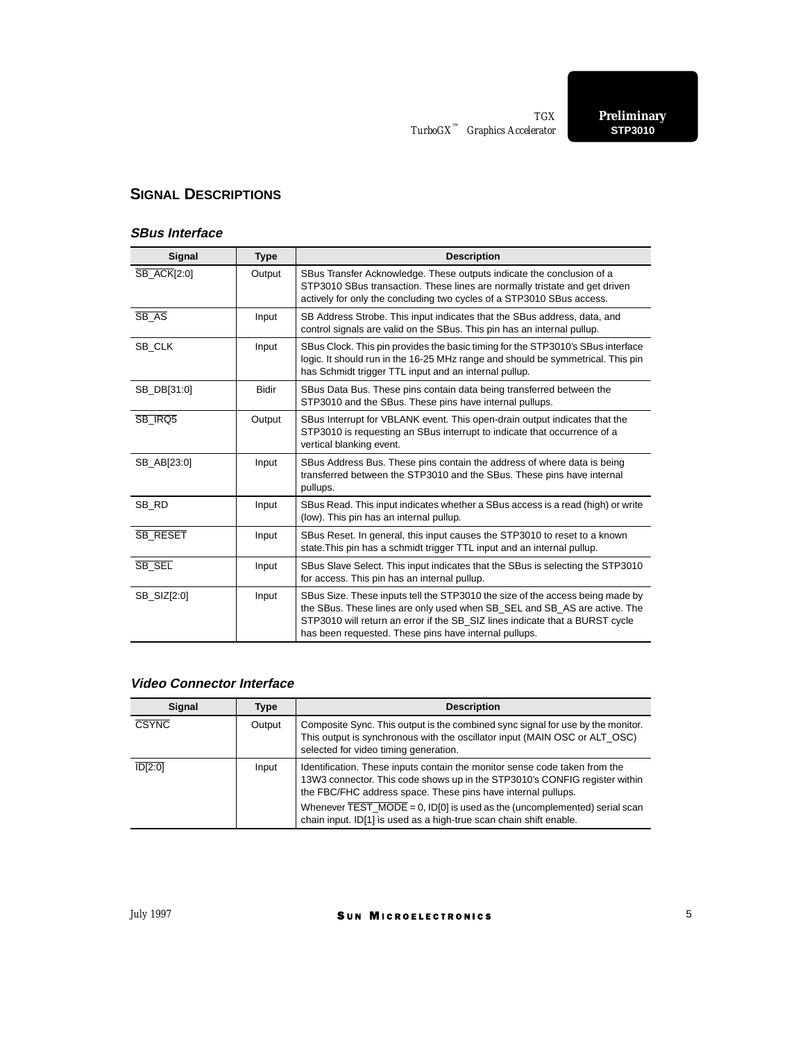## **SIGNAL DESCRIPTIONS**

#### **SBus Interface**

| <b>Signal</b>      | <b>Type</b>  | <b>Description</b>                                                                                                                                                                                                                                                                                  |  |  |  |  |
|--------------------|--------------|-----------------------------------------------------------------------------------------------------------------------------------------------------------------------------------------------------------------------------------------------------------------------------------------------------|--|--|--|--|
| <b>SB_ACK[2:0]</b> | Output       | SBus Transfer Acknowledge. These outputs indicate the conclusion of a<br>STP3010 SBus transaction. These lines are normally tristate and get driven<br>actively for only the concluding two cycles of a STP3010 SBus access.                                                                        |  |  |  |  |
| SB_AS              | Input        | SB Address Strobe. This input indicates that the SBus address, data, and<br>control signals are valid on the SBus. This pin has an internal pullup.                                                                                                                                                 |  |  |  |  |
| SB CLK             | Input        | SBus Clock. This pin provides the basic timing for the STP3010's SBus interface<br>logic. It should run in the 16-25 MHz range and should be symmetrical. This pin<br>has Schmidt trigger TTL input and an internal pullup.                                                                         |  |  |  |  |
| SB_DB[31:0]        | <b>Bidir</b> | SBus Data Bus. These pins contain data being transferred between the<br>STP3010 and the SBus. These pins have internal pullups.                                                                                                                                                                     |  |  |  |  |
| SB IRQ5            | Output       | SBus Interrupt for VBLANK event. This open-drain output indicates that the<br>STP3010 is requesting an SBus interrupt to indicate that occurrence of a<br>vertical blanking event.                                                                                                                  |  |  |  |  |
| SB AB[23:0]        | Input        | SBus Address Bus. These pins contain the address of where data is being<br>transferred between the STP3010 and the SBus. These pins have internal<br>pullups.                                                                                                                                       |  |  |  |  |
| SB RD              | Input        | SBus Read. This input indicates whether a SBus access is a read (high) or write<br>(low). This pin has an internal pullup.                                                                                                                                                                          |  |  |  |  |
| <b>SB RESET</b>    | Input        | SBus Reset. In general, this input causes the STP3010 to reset to a known<br>state. This pin has a schmidt trigger TTL input and an internal pullup.                                                                                                                                                |  |  |  |  |
| SB SEL             | Input        | SBus Slave Select. This input indicates that the SBus is selecting the STP3010<br>for access. This pin has an internal pullup.                                                                                                                                                                      |  |  |  |  |
| SB SIZ[2:0]        | Input        | SBus Size. These inputs tell the STP3010 the size of the access being made by<br>the SBus. These lines are only used when SB_SEL and SB_AS are active. The<br>STP3010 will return an error if the SB_SIZ lines indicate that a BURST cycle<br>has been requested. These pins have internal pullups. |  |  |  |  |

## **Video Connector Interface**

| Signal               | Type   | <b>Description</b>                                                                                                                                                                                                                                                                                                                                                                              |  |  |  |
|----------------------|--------|-------------------------------------------------------------------------------------------------------------------------------------------------------------------------------------------------------------------------------------------------------------------------------------------------------------------------------------------------------------------------------------------------|--|--|--|
| <b>CSYNC</b>         | Output | Composite Sync. This output is the combined sync signal for use by the monitor.<br>This output is synchronous with the oscillator input (MAIN OSC or ALT_OSC)<br>selected for video timing generation.                                                                                                                                                                                          |  |  |  |
| $\overline{ID[2:0]}$ | Input  | Identification. These inputs contain the monitor sense code taken from the<br>13W3 connector. This code shows up in the STP3010's CONFIG register within<br>the FBC/FHC address space. These pins have internal pullups.<br>Whenever $\overline{\text{TEST}}$ MODE = 0, ID[0] is used as the (uncomplemented) serial scan<br>chain input. ID[1] is used as a high-true scan chain shift enable. |  |  |  |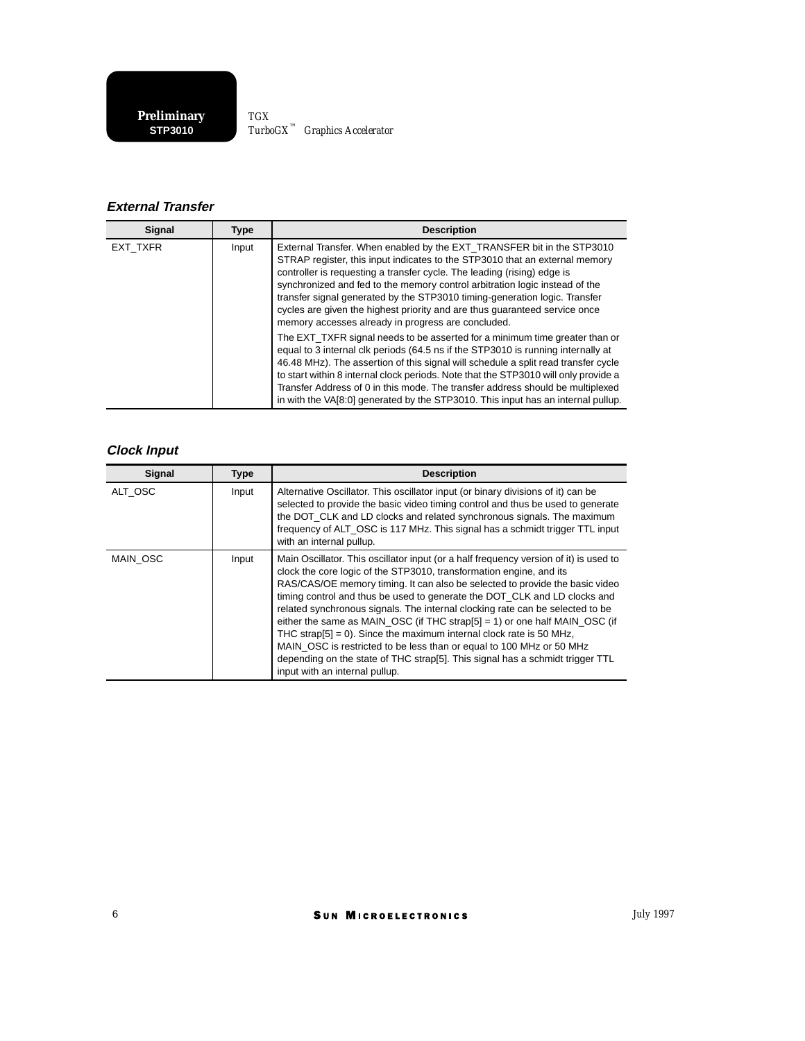**STP3010 Preliminary** *TurboGX™ Graphics Accelerator TGX*

## **External Transfer**

| Signal   | <b>Type</b> | <b>Description</b>                                                                                                                                                                                                                                                                                                                                                                                                                                                                                                                |  |  |  |  |
|----------|-------------|-----------------------------------------------------------------------------------------------------------------------------------------------------------------------------------------------------------------------------------------------------------------------------------------------------------------------------------------------------------------------------------------------------------------------------------------------------------------------------------------------------------------------------------|--|--|--|--|
| EXT TXFR | Input       | External Transfer. When enabled by the EXT TRANSFER bit in the STP3010<br>STRAP register, this input indicates to the STP3010 that an external memory<br>controller is requesting a transfer cycle. The leading (rising) edge is<br>synchronized and fed to the memory control arbitration logic instead of the<br>transfer signal generated by the STP3010 timing-generation logic. Transfer<br>cycles are given the highest priority and are thus guaranteed service once<br>memory accesses already in progress are concluded. |  |  |  |  |
|          |             | The EXT TXFR signal needs to be asserted for a minimum time greater than or<br>equal to 3 internal clk periods (64.5 ns if the STP3010 is running internally at<br>46.48 MHz). The assertion of this signal will schedule a split read transfer cycle<br>to start within 8 internal clock periods. Note that the STP3010 will only provide a<br>Transfer Address of 0 in this mode. The transfer address should be multiplexed<br>in with the VA[8:0] generated by the STP3010. This input has an internal pullup.                |  |  |  |  |

## **Clock Input**

| Signal   | <b>Type</b> | <b>Description</b>                                                                                                                                                                                                                                                                                                                                                                                                                                                                                                                                                                                                                                                                                                                                             |  |  |  |
|----------|-------------|----------------------------------------------------------------------------------------------------------------------------------------------------------------------------------------------------------------------------------------------------------------------------------------------------------------------------------------------------------------------------------------------------------------------------------------------------------------------------------------------------------------------------------------------------------------------------------------------------------------------------------------------------------------------------------------------------------------------------------------------------------------|--|--|--|
| ALT OSC  | Input       | Alternative Oscillator. This oscillator input (or binary divisions of it) can be<br>selected to provide the basic video timing control and thus be used to generate<br>the DOT CLK and LD clocks and related synchronous signals. The maximum<br>frequency of ALT OSC is 117 MHz. This signal has a schmidt trigger TTL input<br>with an internal pullup.                                                                                                                                                                                                                                                                                                                                                                                                      |  |  |  |
| MAIN OSC | Input       | Main Oscillator. This oscillator input (or a half frequency version of it) is used to<br>clock the core logic of the STP3010, transformation engine, and its<br>RAS/CAS/OE memory timing. It can also be selected to provide the basic video<br>timing control and thus be used to generate the DOT_CLK and LD clocks and<br>related synchronous signals. The internal clocking rate can be selected to be<br>either the same as MAIN OSC (if THC strap[5] = 1) or one half MAIN OSC (if<br>THC strap $[5] = 0$ ). Since the maximum internal clock rate is 50 MHz,<br>MAIN OSC is restricted to be less than or equal to 100 MHz or 50 MHz<br>depending on the state of THC strap[5]. This signal has a schmidt trigger TTL<br>input with an internal pullup. |  |  |  |

SUN MICROELECTRONICS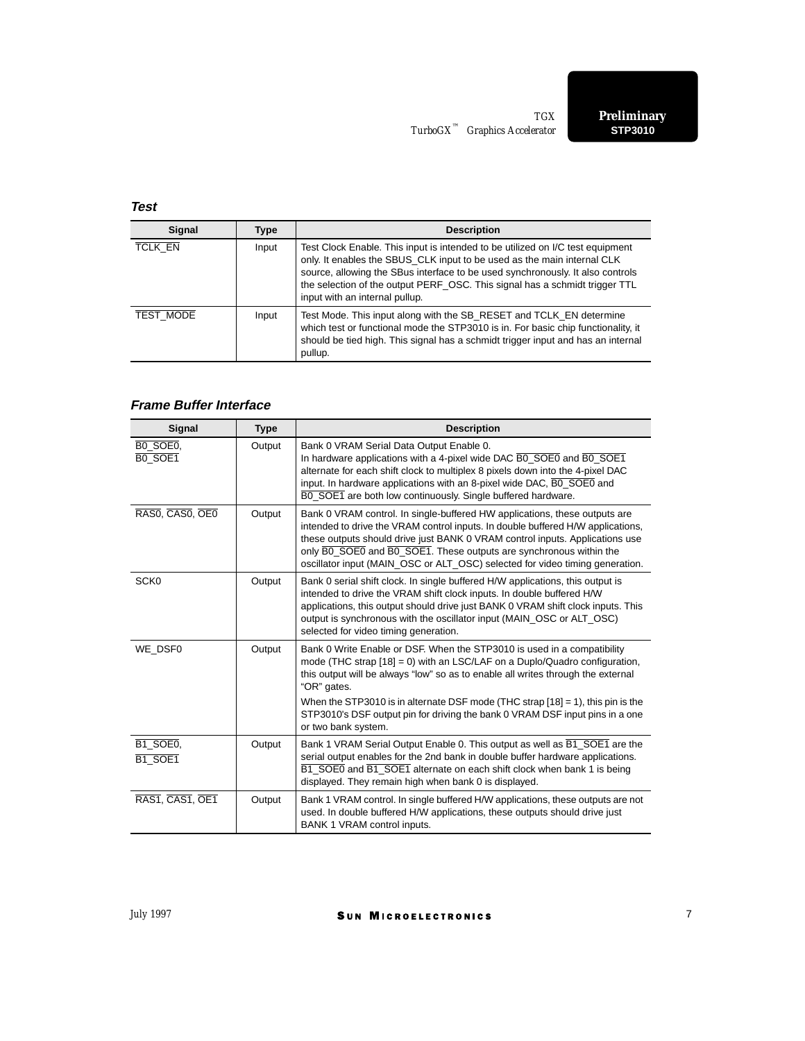## **Test**

| Signal                               | Type  | <b>Description</b>                                                                                                                                                                                                                                                                                                                                           |  |  |  |
|--------------------------------------|-------|--------------------------------------------------------------------------------------------------------------------------------------------------------------------------------------------------------------------------------------------------------------------------------------------------------------------------------------------------------------|--|--|--|
| TCLK EN                              | Input | Test Clock Enable. This input is intended to be utilized on I/C test equipment<br>only. It enables the SBUS CLK input to be used as the main internal CLK<br>source, allowing the SBus interface to be used synchronously. It also controls<br>the selection of the output PERF_OSC. This signal has a schmidt trigger TTL<br>input with an internal pullup. |  |  |  |
| <b>TEST MODE</b><br>Input<br>pullup. |       | Test Mode. This input along with the SB_RESET and TCLK_EN determine<br>which test or functional mode the STP3010 is in. For basic chip functionality, it<br>should be tied high. This signal has a schmidt trigger input and has an internal                                                                                                                 |  |  |  |

## **Frame Buffer Interface**

| Signal              | <b>Type</b> | <b>Description</b>                                                                                                                                                                                                                                                                                                                                                                                                                                       |
|---------------------|-------------|----------------------------------------------------------------------------------------------------------------------------------------------------------------------------------------------------------------------------------------------------------------------------------------------------------------------------------------------------------------------------------------------------------------------------------------------------------|
| BO SOEO,<br>BO SOE1 | Output      | Bank 0 VRAM Serial Data Output Enable 0.<br>In hardware applications with a 4-pixel wide DAC BO_SOE0 and BO_SOE1<br>alternate for each shift clock to multiplex 8 pixels down into the 4-pixel DAC<br>input. In hardware applications with an 8-pixel wide DAC, BO SOEO and<br>BO SOE1 are both low continuously. Single buffered hardware.                                                                                                              |
| RASO, CASO, OEO     | Output      | Bank 0 VRAM control. In single-buffered HW applications, these outputs are<br>intended to drive the VRAM control inputs. In double buffered H/W applications,<br>these outputs should drive just BANK 0 VRAM control inputs. Applications use<br>only BO_SOEO and BO_SOE1. These outputs are synchronous within the<br>oscillator input (MAIN OSC or ALT OSC) selected for video timing generation.                                                      |
| SCK <sub>0</sub>    | Output      | Bank 0 serial shift clock. In single buffered H/W applications, this output is<br>intended to drive the VRAM shift clock inputs. In double buffered H/W<br>applications, this output should drive just BANK 0 VRAM shift clock inputs. This<br>output is synchronous with the oscillator input (MAIN OSC or ALT OSC)<br>selected for video timing generation.                                                                                            |
| WE DSF0             | Output      | Bank 0 Write Enable or DSF. When the STP3010 is used in a compatibility<br>mode (THC strap $[18] = 0$ ) with an LSC/LAF on a Duplo/Quadro configuration,<br>this output will be always "low" so as to enable all writes through the external<br>"OR" gates.<br>When the STP3010 is in alternate DSF mode (THC strap $[18] = 1$ ), this pin is the<br>STP3010's DSF output pin for driving the bank 0 VRAM DSF input pins in a one<br>or two bank system. |
| B1 SOE0,<br>B1 SOE1 | Output      | Bank 1 VRAM Serial Output Enable 0. This output as well as $\overline{B1}$ SOE1 are the<br>serial output enables for the 2nd bank in double buffer hardware applications.<br>B1_SOE0 and B1_SOE1 alternate on each shift clock when bank 1 is being<br>displayed. They remain high when bank 0 is displayed.                                                                                                                                             |
| RAS1, CAS1, OE1     | Output      | Bank 1 VRAM control. In single buffered H/W applications, these outputs are not<br>used. In double buffered H/W applications, these outputs should drive just<br>BANK 1 VRAM control inputs.                                                                                                                                                                                                                                                             |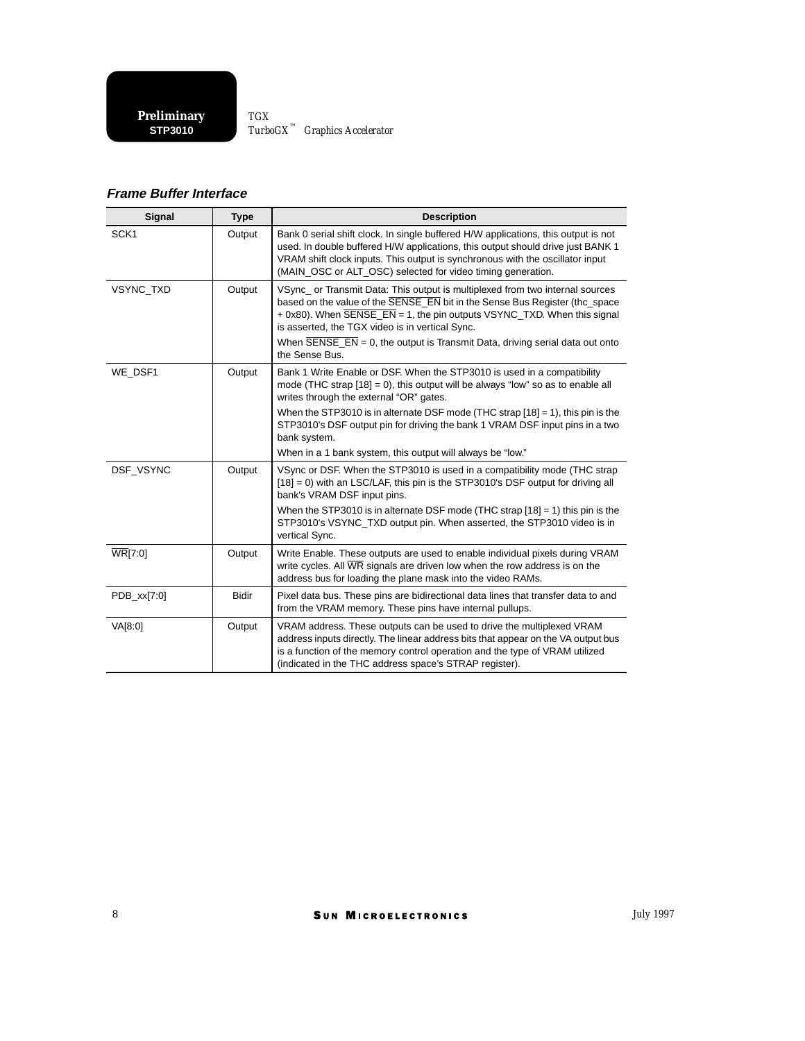**STP3010 Preliminary** *TurboGX™ Graphics Accelerator TGX*

## **Frame Buffer Interface**

| Signal           | <b>Type</b>  | <b>Description</b>                                                                                                                                                                                                                                                                                                                                                                                                                                         |  |  |  |
|------------------|--------------|------------------------------------------------------------------------------------------------------------------------------------------------------------------------------------------------------------------------------------------------------------------------------------------------------------------------------------------------------------------------------------------------------------------------------------------------------------|--|--|--|
| SCK <sub>1</sub> | Output       | Bank 0 serial shift clock. In single buffered H/W applications, this output is not<br>used. In double buffered H/W applications, this output should drive just BANK 1<br>VRAM shift clock inputs. This output is synchronous with the oscillator input<br>(MAIN OSC or ALT OSC) selected for video timing generation.                                                                                                                                      |  |  |  |
| <b>VSYNC TXD</b> | Output       | VSync or Transmit Data: This output is multiplexed from two internal sources<br>based on the value of the <b>SENSE</b> EN bit in the Sense Bus Register (the space<br>$+$ 0x80). When $\overline{SE}$ NSE_EN = 1, the pin outputs VSYNC_TXD. When this signal<br>is asserted, the TGX video is in vertical Sync.<br>When $\overline{\text{SENSE}}$ $\overline{\text{EN}}$ = 0, the output is Transmit Data, driving serial data out onto<br>the Sense Bus. |  |  |  |
| WE DSF1          | Output       | Bank 1 Write Enable or DSF. When the STP3010 is used in a compatibility<br>mode (THC strap $[18] = 0$ ), this output will be always "low" so as to enable all<br>writes through the external "OR" gates.                                                                                                                                                                                                                                                   |  |  |  |
|                  |              | When the STP3010 is in alternate DSF mode (THC strap $[18] = 1$ ), this pin is the<br>STP3010's DSF output pin for driving the bank 1 VRAM DSF input pins in a two<br>bank system.                                                                                                                                                                                                                                                                         |  |  |  |
|                  |              | When in a 1 bank system, this output will always be "low."                                                                                                                                                                                                                                                                                                                                                                                                 |  |  |  |
| DSF VSYNC        | Output       | VSync or DSF. When the STP3010 is used in a compatibility mode (THC strap<br>$[18] = 0$ ) with an LSC/LAF, this pin is the STP3010's DSF output for driving all<br>bank's VRAM DSF input pins.                                                                                                                                                                                                                                                             |  |  |  |
|                  |              | When the STP3010 is in alternate DSF mode (THC strap $[18] = 1$ ) this pin is the<br>STP3010's VSYNC_TXD output pin. When asserted, the STP3010 video is in<br>vertical Sync.                                                                                                                                                                                                                                                                              |  |  |  |
| <b>WR[7:0]</b>   | Output       | Write Enable. These outputs are used to enable individual pixels during VRAM<br>write cycles. All $\overline{\text{WR}}$ signals are driven low when the row address is on the<br>address bus for loading the plane mask into the video RAMs.                                                                                                                                                                                                              |  |  |  |
| PDB_xx[7:0]      | <b>Bidir</b> | Pixel data bus. These pins are bidirectional data lines that transfer data to and<br>from the VRAM memory. These pins have internal pullups.                                                                                                                                                                                                                                                                                                               |  |  |  |
| VA[8:0]          | Output       | VRAM address. These outputs can be used to drive the multiplexed VRAM<br>address inputs directly. The linear address bits that appear on the VA output bus<br>is a function of the memory control operation and the type of VRAM utilized<br>(indicated in the THC address space's STRAP register).                                                                                                                                                        |  |  |  |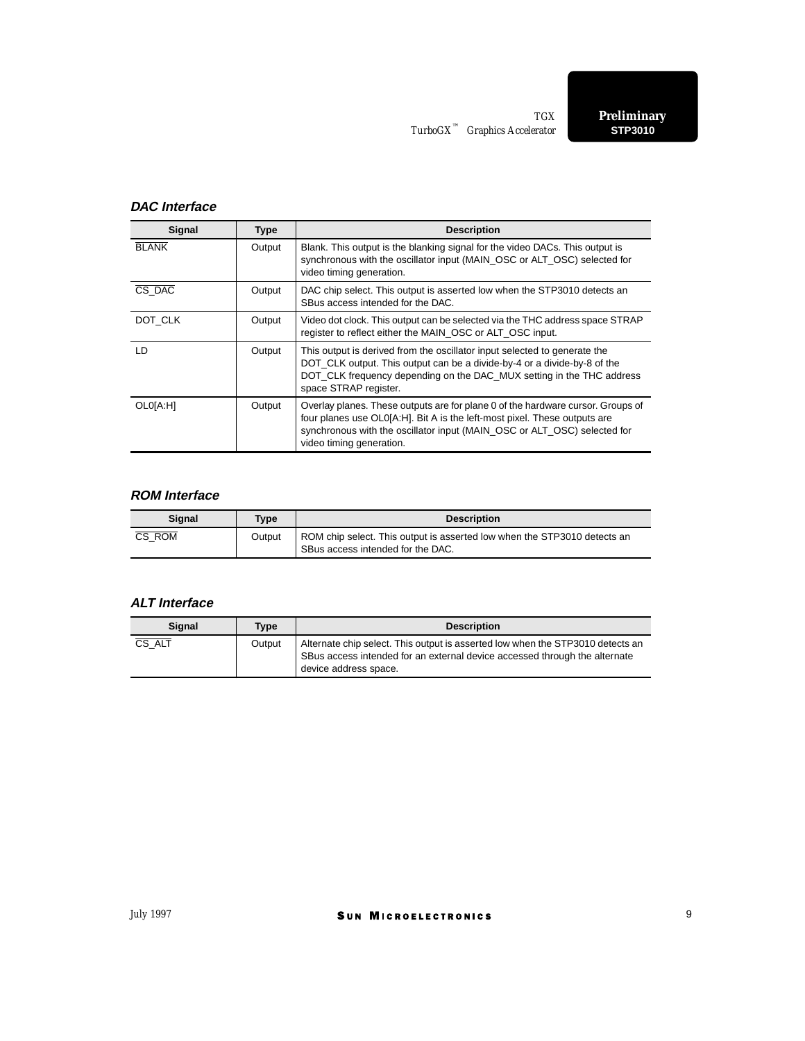### **DAC Interface**

| Signal       | <b>Type</b> | <b>Description</b>                                                                                                                                                                                                                                                   |  |  |  |  |
|--------------|-------------|----------------------------------------------------------------------------------------------------------------------------------------------------------------------------------------------------------------------------------------------------------------------|--|--|--|--|
| <b>BLANK</b> | Output      | Blank. This output is the blanking signal for the video DACs. This output is<br>synchronous with the oscillator input (MAIN OSC or ALT OSC) selected for<br>video timing generation.                                                                                 |  |  |  |  |
| CS DAC       | Output      | DAC chip select. This output is asserted low when the STP3010 detects an<br>SBus access intended for the DAC.                                                                                                                                                        |  |  |  |  |
| DOT CLK      | Output      | Video dot clock. This output can be selected via the THC address space STRAP<br>register to reflect either the MAIN OSC or ALT OSC input.                                                                                                                            |  |  |  |  |
| I D.         | Output      | This output is derived from the oscillator input selected to generate the<br>DOT CLK output. This output can be a divide-by-4 or a divide-by-8 of the<br>DOT CLK frequency depending on the DAC MUX setting in the THC address<br>space STRAP register.              |  |  |  |  |
| OL0[A:H]     | Output      | Overlay planes. These outputs are for plane 0 of the hardware cursor. Groups of<br>four planes use OL0[A:H]. Bit A is the left-most pixel. These outputs are<br>synchronous with the oscillator input (MAIN OSC or ALT OSC) selected for<br>video timing generation. |  |  |  |  |

## **ROM Interface**

| <b>Signal</b> | Type   | <b>Description</b>                                                                                            |  |
|---------------|--------|---------------------------------------------------------------------------------------------------------------|--|
| CS ROM        | Output | ROM chip select. This output is asserted low when the STP3010 detects an<br>SBus access intended for the DAC. |  |

## **ALT Interface**

| <b>Signal</b> | Tvpe   | <b>Description</b>                                                                                                                                                                    |  |  |
|---------------|--------|---------------------------------------------------------------------------------------------------------------------------------------------------------------------------------------|--|--|
| CS ALT        | Output | Alternate chip select. This output is asserted low when the STP3010 detects an<br>SBus access intended for an external device accessed through the alternate<br>device address space. |  |  |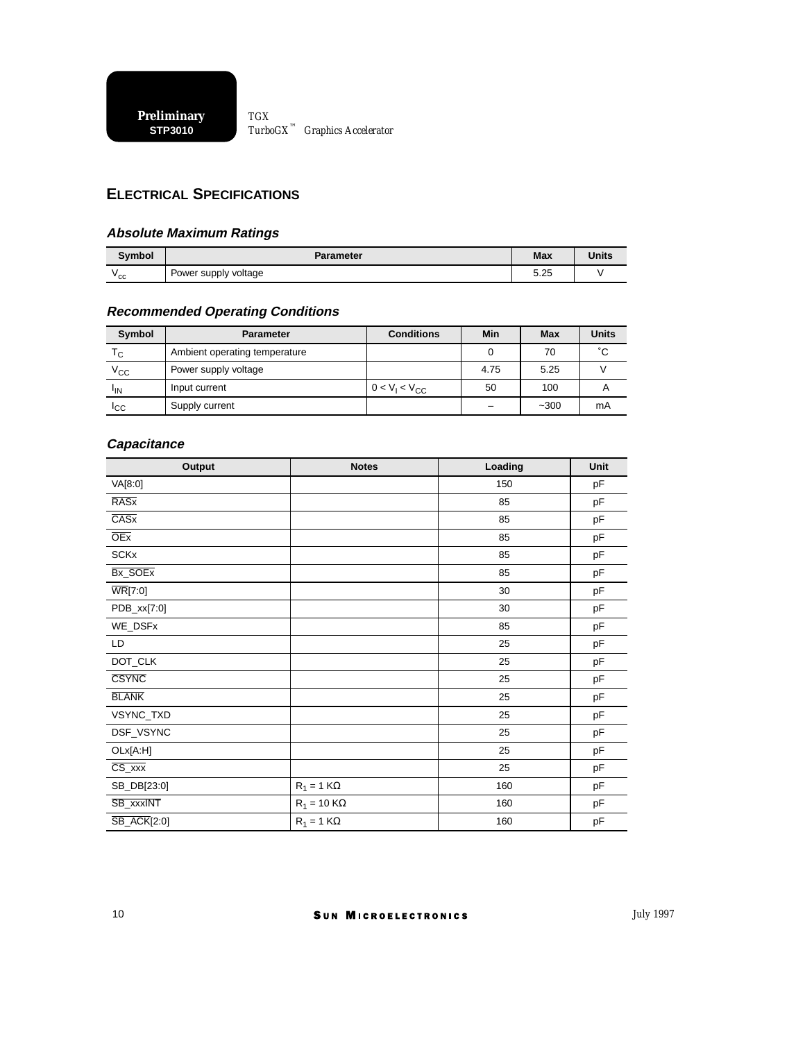## **ELECTRICAL SPECIFICATIONS**

#### **Absolute Maximum Ratings**

| Symbol       | Parameter            | <b>Max</b> | <b>Units</b> |
|--------------|----------------------|------------|--------------|
| $v_{\rm cc}$ | Power supply voltage | 5.25       |              |

## **Recommended Operating Conditions**

| Symbol          | <b>Parameter</b>              | <b>Conditions</b>                    | Min  | Max    | <b>Units</b> |
|-----------------|-------------------------------|--------------------------------------|------|--------|--------------|
| $T_{\rm C}$     | Ambient operating temperature |                                      |      | 70     | °С           |
| $\rm v_{cc}$    | Power supply voltage          |                                      | 4.75 | 5.25   |              |
| <sup>I</sup> IN | Input current                 | 0 < V <sub>1</sub> < V <sub>CC</sub> | 50   | 100    |              |
| Iсс             | Supply current                |                                      |      | $-300$ | mA           |

#### **Capacitance**

| <b>Output</b>                | <b>Notes</b>       | Loading | Unit |  |
|------------------------------|--------------------|---------|------|--|
| VA[8:0]                      |                    | 150     | pF   |  |
| <b>RASx</b>                  |                    | 85      | pF   |  |
| $\overline{\text{CASx}}$     |                    | 85      | pF   |  |
| OEx                          |                    | 85      | pF   |  |
| <b>SCKx</b>                  |                    | 85      | pF   |  |
| Bx_SOEx                      |                    | 85      | pF   |  |
| $\overline{\text{WR}}$ [7:0] |                    | 30      | pF   |  |
| PDB_xx[7:0]                  |                    | 30      | pF   |  |
| WE_DSFx                      |                    | 85      | pF   |  |
| LD                           |                    | 25      | pF   |  |
| DOT_CLK                      |                    | 25      | pF   |  |
| <b>CSYNC</b>                 |                    | 25      | pF   |  |
| <b>BLANK</b>                 |                    | 25      | pF   |  |
| VSYNC_TXD                    |                    | 25      | pF   |  |
| DSF_VSYNC                    |                    | 25      | pF   |  |
| OLx[A:H]                     |                    | 25      | pF   |  |
| $CS_{\_}$ $xxx$              |                    | 25      | pF   |  |
| SB_DB[23:0]                  | $R_1 = 1 K\Omega$  | 160     | pF   |  |
| SB_xxxINT                    | $R_1 = 10 K\Omega$ | 160     | pF   |  |
| <b>SB_ACK[2:0]</b>           | $R_1 = 1 K\Omega$  | 160     | pF   |  |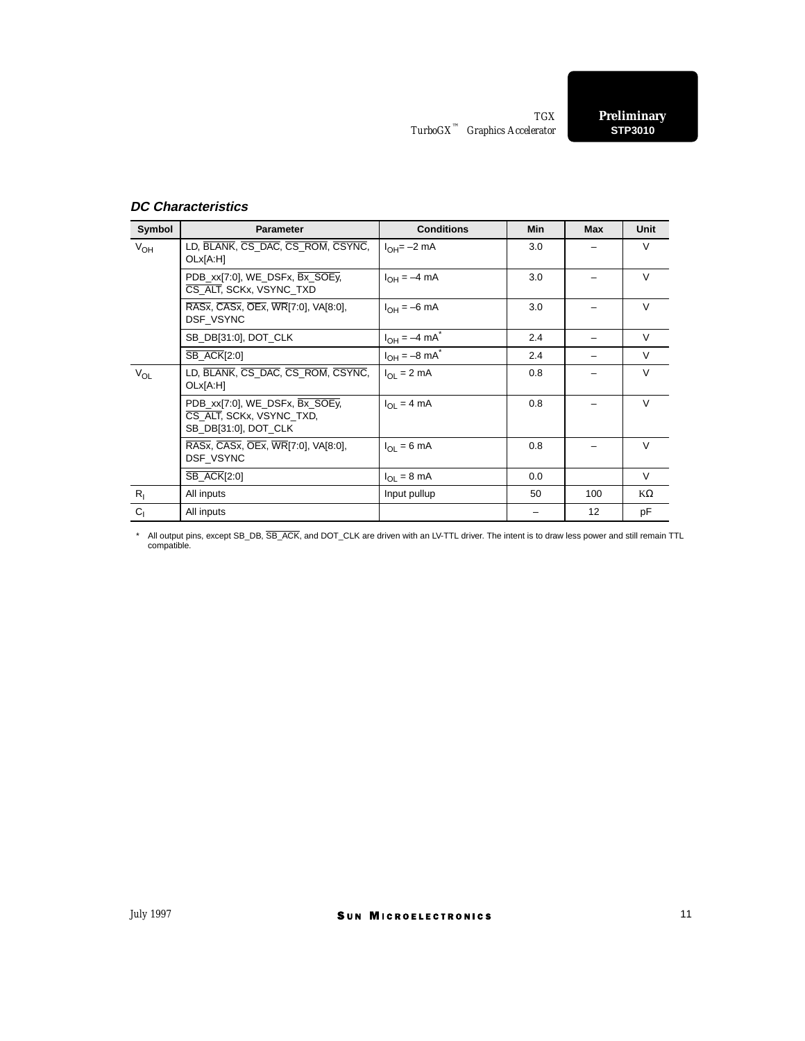## **DC Characteristics**

| Symbol         | <b>Parameter</b>                                                                   | <b>Conditions</b>            | <b>Min</b> | <b>Max</b> | <b>Unit</b> |
|----------------|------------------------------------------------------------------------------------|------------------------------|------------|------------|-------------|
| $V_{OH}$       | LD, BLANK, CS DAC, CS ROM, CSYNC,<br>OLx[A:H]                                      | $I_{OH} = -2$ mA             | 3.0        |            | $\vee$      |
|                | PDB_xx[7:0], WE_DSFx, Bx_SOEy,<br>CS ALT, SCKx, VSYNC TXD                          | $I_{OH} = -4 \text{ mA}$     | 3.0        |            | $\vee$      |
|                | RASX, CASX, OEX, WR[7:0], VA[8:0],<br>DSF VSYNC                                    | $I_{OH} = -6$ mA             | 3.0        |            | $\vee$      |
|                | SB_DB[31:0], DOT_CLK                                                               | $I_{OH} = -4 \text{ mA}^{*}$ | 2.4        |            | $\vee$      |
|                | <b>SB ACK[2:0]</b>                                                                 | $I_{OH} = -8 \text{ mA}^*$   | 2.4        |            | V           |
| $V_{OL}$       | LD, BLANK, CS_DAC, CS_ROM, CSYNC,<br>OLx[A:H]                                      | $I_{\Omega I}$ = 2 mA        | 0.8        |            | $\vee$      |
|                | PDB_xx[7:0], WE_DSFx, Bx_SOEy,<br>CS_ALT, SCKx, VSYNC_TXD,<br>SB DB[31:0], DOT CLK | $I_{OL} = 4 mA$              | 0.8        |            | $\vee$      |
|                | RASx, CASx, OEx, WR[7:0], VA[8:0],<br>DSF VSYNC                                    | $I_{\Omega} = 6 \text{ mA}$  | 0.8        |            | $\vee$      |
|                | <b>SB_ACK[2:0]</b>                                                                 | $I_{OL} = 8 \text{ mA}$      | 0.0        |            | V           |
| $R_{I}$        | All inputs                                                                         | Input pullup                 | 50         | 100        | $K\Omega$   |
| C <sub>1</sub> | All inputs                                                                         |                              |            | 12         | рF          |

\* All output pins, except SB\_DB, SB\_ACK, and DOT\_CLK are driven with an LV-TTL driver. The intent is to draw less power and still remain TTL compatible.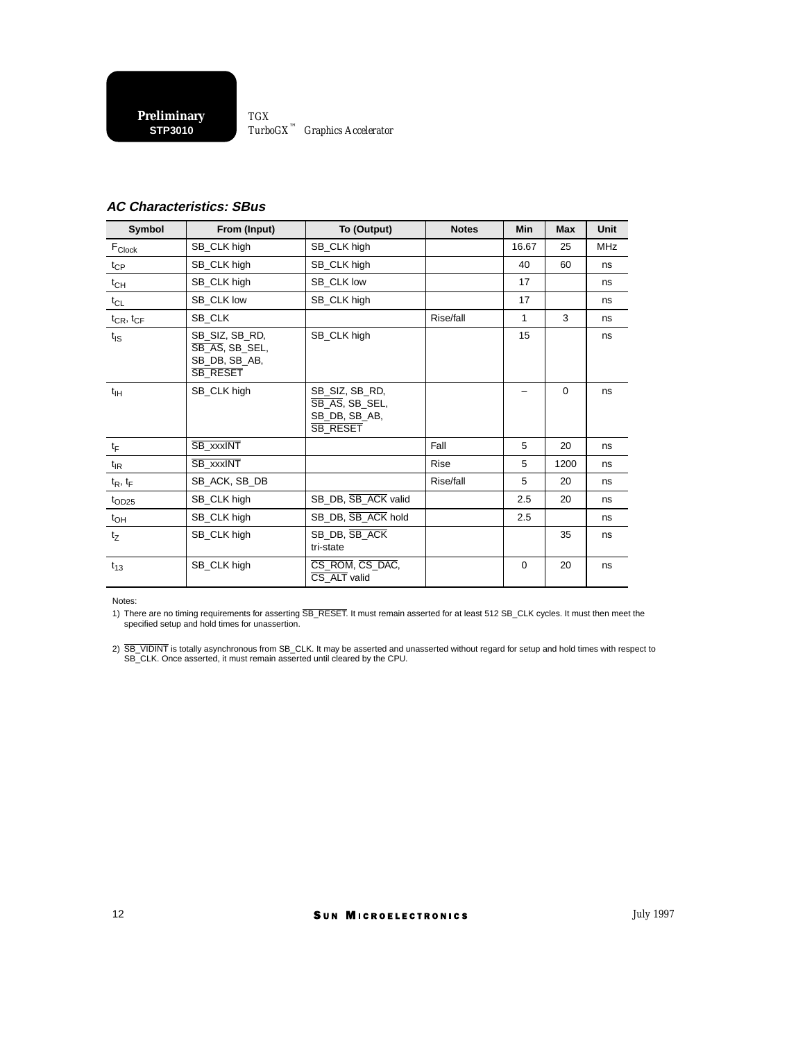**STP3010 Preliminary** *TurboGX™ Graphics Accelerator TGX*

#### **AC Characteristics: SBus**

| Symbol              | From (Input)                                                         | To (Output)                                                          | <b>Notes</b> | <b>Min</b>   | <b>Max</b> | Unit       |
|---------------------|----------------------------------------------------------------------|----------------------------------------------------------------------|--------------|--------------|------------|------------|
| $F_{\text{Clock}}$  | SB_CLK high                                                          | SB_CLK high                                                          |              | 16.67        | 25         | <b>MHz</b> |
| $t_{\mathsf{CP}}$   | SB_CLK high<br>SB_CLK high                                           |                                                                      |              |              | 60         | ns         |
| $t_{CH}$            | SB_CLK high                                                          | SB CLK low                                                           |              | 17           |            | ns         |
| $t_{CL}$            | SB_CLK low                                                           | SB_CLK high                                                          |              | 17           |            | ns         |
| $t_{CR}$ , $t_{CF}$ | SB CLK                                                               |                                                                      | Rise/fall    | $\mathbf{1}$ | 3          | ns         |
| $t_{\text{IS}}$     | SB_SIZ, SB_RD,<br>SB AS, SB SEL,<br>SB DB, SB AB,<br><b>SB_RESET</b> | SB_CLK high                                                          |              | 15           |            | ns         |
| $t_{\text{IH}}$     | SB_CLK high                                                          | SB SIZ, SB RD,<br>SB_AS, SB_SEL,<br>SB_DB, SB_AB,<br><b>SB RESET</b> |              |              | $\Omega$   | ns         |
| $t_F$               | SB_xxxINT                                                            |                                                                      | Fall         | 5            | 20         | ns         |
| $t_{IR}$            | SB xxxINT                                                            |                                                                      | <b>Rise</b>  | 5            | 1200       | ns         |
| $t_R$ , $t_F$       | SB_ACK, SB_DB                                                        |                                                                      | Rise/fall    | 5            | 20         | ns         |
| $t_{OD25}$          | SB_CLK high                                                          | SB_DB, SB_ACK valid                                                  |              | 2.5          | 20         | ns         |
| $t_{OH}$            | SB_CLK high                                                          | SB_DB, SB_ACK hold                                                   |              | 2.5          |            | ns         |
| $t_Z$               | SB_CLK high                                                          | SB DB, SB ACK<br>tri-state                                           |              |              | 35         | ns         |
| $t_{13}$            | SB CLK high                                                          | CS_ROM, CS_DAC,<br>CS ALT valid                                      |              | $\mathbf 0$  | 20         | ns         |

Notes:

1) There are no timing requirements for asserting SB\_RESET. It must remain asserted for at least 512 SB\_CLK cycles. It must then meet the specified setup and hold times for unassertion.

2) SB\_VIDINT is totally asynchronous from SB\_CLK. It may be asserted and unasserted without regard for setup and hold times with respect to SB\_CLK. Once asserted, it must remain asserted until cleared by the CPU.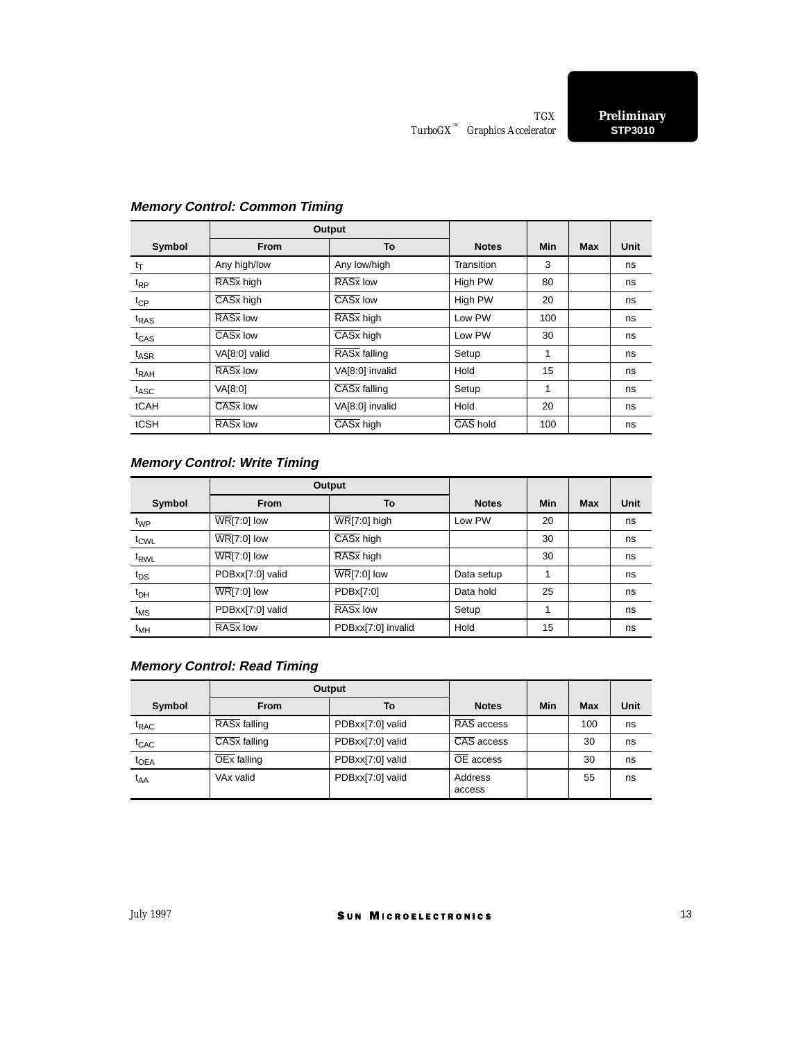|                  |                                              | Output                           |              |            |            |      |
|------------------|----------------------------------------------|----------------------------------|--------------|------------|------------|------|
| Symbol           | From                                         | To                               | <b>Notes</b> | <b>Min</b> | <b>Max</b> | Unit |
| $t_T$            | Any high/low                                 | Any low/high                     | Transition   | 3          |            | ns   |
| $t_{RP}$         | RASx high                                    | RAS <sub>x</sub> low             | High PW      | 80         |            | ns   |
| $t_{CP}$         | CAS <sub>x</sub> low<br>CASx high<br>High PW |                                  |              | 20         |            | ns   |
| $t_{RAS}$        | RAS <sub>x</sub> low                         | RASx high                        | Low PW       | 100        |            | ns   |
| $t_{CAS}$        | $\overline{\text{CASx}}$ low                 | CASx high                        | Low PW       | 30         |            | ns   |
| $t_{\sf ASR}$    | VA[8:0] valid                                | RAS <sub>x</sub> falling         | Setup        | 1          |            | ns   |
| t <sub>RAH</sub> | RAS <sub>x</sub> low                         | VA[8:0] invalid<br>Hold          |              | 15         |            | ns   |
| t <sub>ASC</sub> | VA[8:0]                                      | $\overline{\text{CASx}}$ falling | Setup        | 1          |            | ns   |
| tCAH             | $\overline{\text{CASx}}$ low                 | VA[8:0] invalid                  | Hold         | 20         |            | ns   |
| tCSH             | RAS <sub>x</sub> low                         | CASx high                        | CAS hold     | 100        |            | ns   |

## **Memory Control: Common Timing**

## **Memory Control: Write Timing**

|                   |                                  | Output                            |              |     |            |      |
|-------------------|----------------------------------|-----------------------------------|--------------|-----|------------|------|
| Symbol            | <b>From</b>                      | To                                | <b>Notes</b> | Min | <b>Max</b> | Unit |
| $t_{WP}$          | $\overline{\text{WR}}$ [7:0] low | $\overline{\text{WR}}$ [7:0] high | Low PW       | 20  |            | ns   |
| $t_{CWL}$         | $\overline{\text{WR}}$ [7:0] low | $\overline{CASx}$ high            |              | 30  |            | ns   |
| t <sub>RWL</sub>  | $\overline{\text{WR}}$ [7:0] low | RASx high                         |              | 30  |            | ns   |
| $t_{DS}$          | PDBxx[7:0] valid                 | $\overline{\text{WR}}$ [7:0] low  | Data setup   | 1   |            | ns   |
| $t_{\text{DH}}$   | $\overline{\text{WR}}$ [7:0] low | PDBx[7:0]                         | Data hold    | 25  |            | ns   |
| $t_{\mathsf{MS}}$ | PDBxx[7:0] valid                 | RAS <sub>x</sub> low              | Setup        |     |            | ns   |
| $t_{MH}$          | RAS <sub>x</sub> low             | PDBxx[7:0] invalid                | Hold         | 15  |            | ns   |

## **Memory Control: Read Timing**

|                    |                          | Output           |                        |     |     |      |
|--------------------|--------------------------|------------------|------------------------|-----|-----|------|
| Symbol             | <b>From</b>              | To               | <b>Notes</b>           | Min | Max | Unit |
| t <sub>RAC</sub>   | RAS <sub>x</sub> falling | PDBxx[7:0] valid | RAS access             |     | 100 | ns   |
| $t_{\mathsf{CAC}}$ | CASx falling             | PDBxx[7:0] valid | CAS access             |     | 30  | ns   |
| $t_{OEA}$          | $\overline{OEx}$ falling | PDBxx[7:0] valid | $\overline{OE}$ access |     | 30  | ns   |
| $t_{AA}$           | VAx valid                | PDBxx[7:0] valid | Address<br>access      |     | 55  | ns   |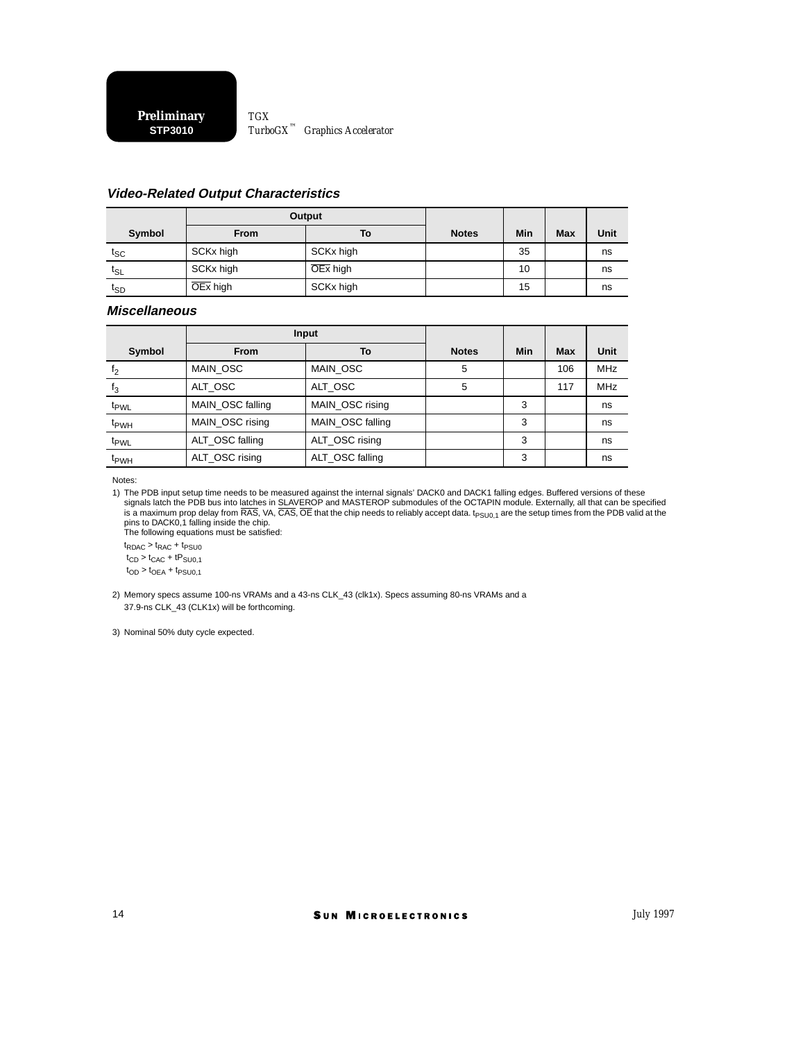#### **Video-Related Output Characteristics**

|                            |                       | Output    |              |     |            |      |
|----------------------------|-----------------------|-----------|--------------|-----|------------|------|
| Symbol                     | <b>From</b>           | To        | <b>Notes</b> | Min | <b>Max</b> | Unit |
| $t_{SC}$                   | SCKx high             | SCKx high |              | 35  |            | ns   |
| $\mathsf{t}_{\mathsf{SL}}$ | SCKx high             | OEx high  |              | 10  |            | ns   |
| $t_{SD}$                   | $\overline{OEx}$ high | SCKx high |              | 15  |            | ns   |

#### **Miscellaneous**

|                  |                  | Input            |              |     |     |            |
|------------------|------------------|------------------|--------------|-----|-----|------------|
| Symbol           | <b>From</b>      | Т٥               | <b>Notes</b> | Min | Max | Unit       |
| t <sub>2</sub>   | MAIN OSC         | MAIN_OSC         | 5            |     | 106 | <b>MHz</b> |
| $I_3$            | ALT OSC          | ALT OSC          | 5            |     | 117 | <b>MHz</b> |
| t <sub>PWL</sub> | MAIN OSC falling | MAIN OSC rising  |              | 3   |     | ns         |
| t <sub>PWH</sub> | MAIN OSC rising  | MAIN OSC falling |              | 3   |     | ns         |
| t <sub>PWL</sub> | ALT OSC falling  | ALT OSC rising   |              | 3   |     | ns         |
| t <sub>PWH</sub> | ALT OSC rising   | ALT OSC falling  |              | 3   |     | ns         |

Notes:

1) The PDB input setup time needs to be measured against the internal signals' DACK0 and DACK1 falling edges. Buffered versions of these signals latch the PDB bus into latches in SLAVEROP and MASTEROP submodules of the OCTAPIN module. Externally, all that can be specified<br>is a maximum prop delay from RAS, VA, CAS, OE that the chip needs to reliably accept d

 $t_{RDAC}$  >  $t_{RAC}$  +  $t_{PSU0}$  $t_{CD}$  >  $t_{CAC}$  +  $tP<sub>SU0,1</sub>$  $t_{OD}$  >  $t_{OEA}$  +  $t_{PSU0,1}$ 

2) Memory specs assume 100-ns VRAMs and a 43-ns CLK\_43 (clk1x). Specs assuming 80-ns VRAMs and a 37.9-ns CLK\_43 (CLK1x) will be forthcoming.

3) Nominal 50% duty cycle expected.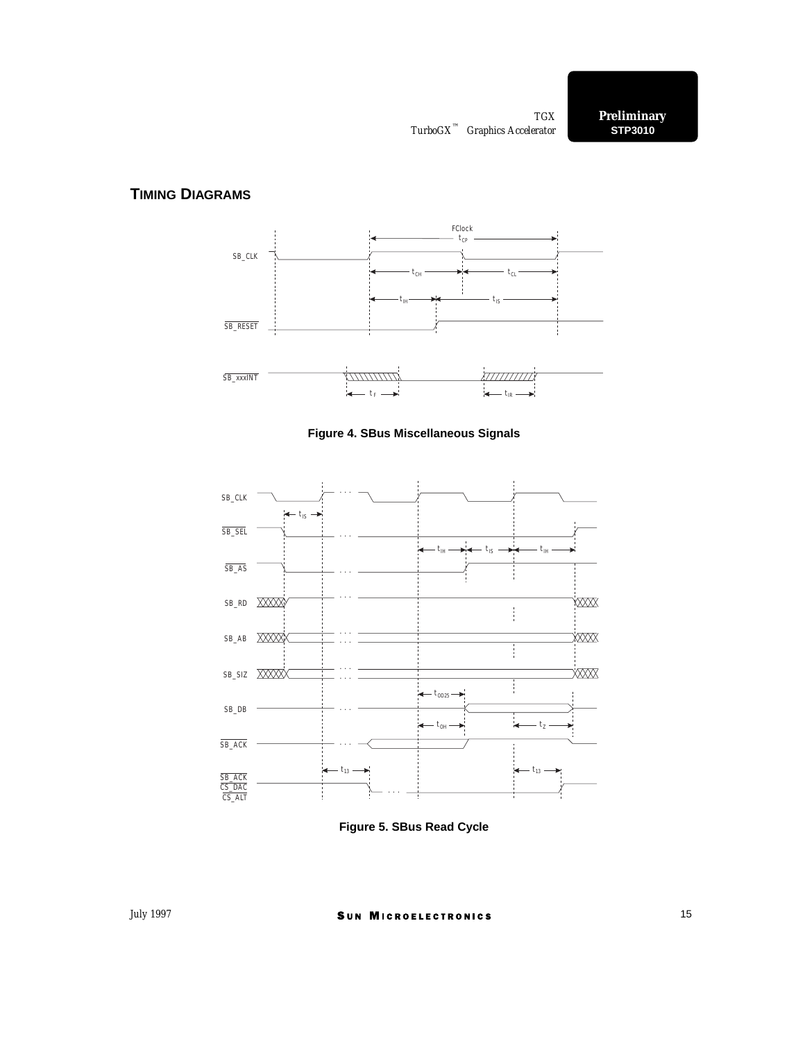## **TIMING DIAGRAMS**







**Figure 5. SBus Read Cycle**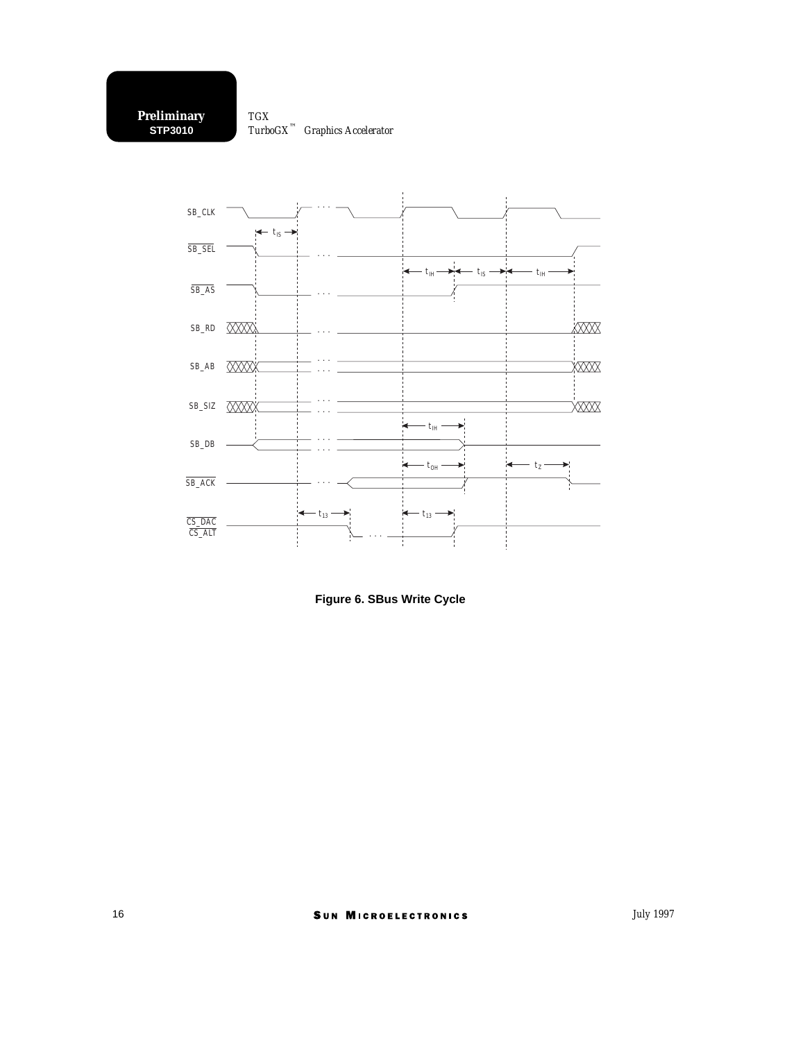

**Figure 6. SBus Write Cycle**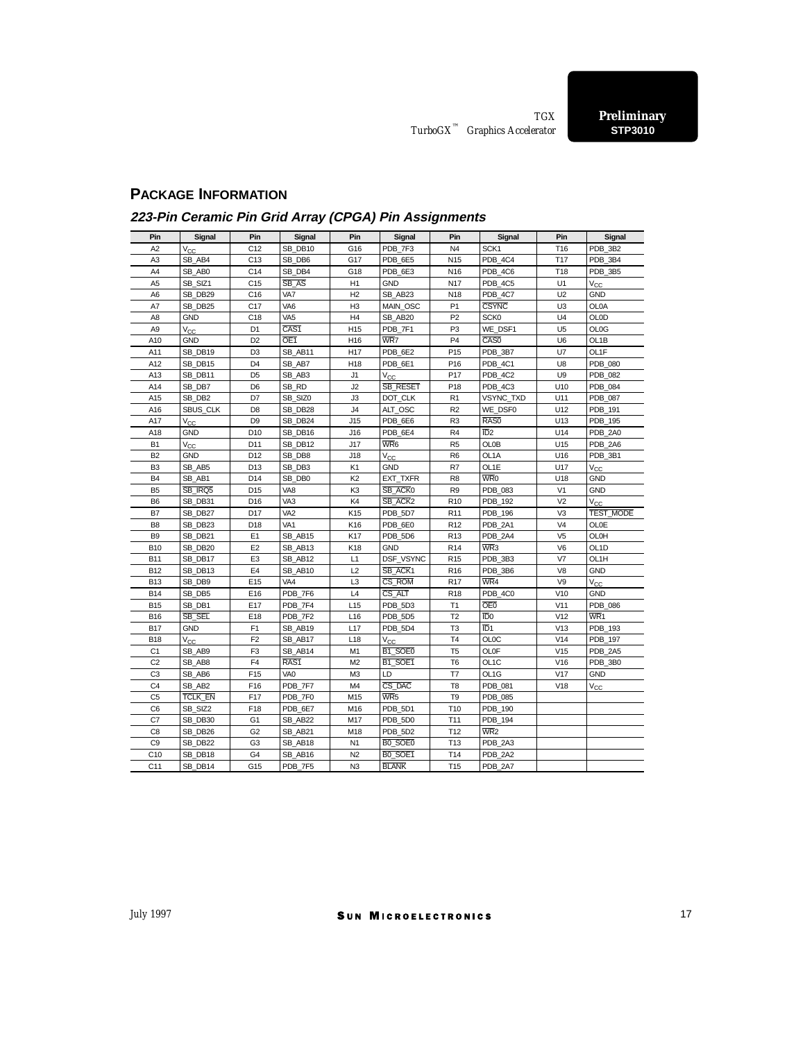## **PACKAGE INFORMATION**

## **223-Pin Ceramic Pin Grid Array (CPGA) Pin Assignments**

| Pin             | Signal          | Pin             | Signal           | Pin             | Signal              | Pin             | Signal           | Pin             | Signal            |  |
|-----------------|-----------------|-----------------|------------------|-----------------|---------------------|-----------------|------------------|-----------------|-------------------|--|
| A <sub>2</sub>  | $V_{CC}$        | C12             | SB_DB10          | G16             | PDB_7F3             | N <sub>4</sub>  | SCK1             | T16             | PDB 3B2           |  |
| A <sub>3</sub>  | SB AB4          | C <sub>13</sub> | SB DB6           | G17             | PDB 6E5             | N <sub>15</sub> | PDB 4C4          | T17             | PDB 3B4           |  |
| A4              | SB_AB0          | C14             | SB DB4           | G18             | PDB_6E3             | N <sub>16</sub> | PDB_4C6          | T18             | PDB_3B5           |  |
| A <sub>5</sub>  | SB_SIZ1         | C15             | SB_AS            | H <sub>1</sub>  | <b>GND</b>          | N <sub>17</sub> | PDB_4C5          | U <sub>1</sub>  | $V_{CC}$          |  |
| A6              | SB DB29         | C16             | VA7              | H <sub>2</sub>  | SB AB23             | N <sub>18</sub> | PDB 4C7          | U <sub>2</sub>  | GND               |  |
| A7              | SB DB25         | C17             | VA <sub>6</sub>  | H <sub>3</sub>  | MAIN OSC            | P1              | <b>CSYNC</b>     | U <sub>3</sub>  | <b>OL0A</b>       |  |
| A8              | <b>GND</b>      | C18             | VA <sub>5</sub>  | H <sub>4</sub>  | SB_AB20             | P <sub>2</sub>  | <b>SCK0</b>      | U <sub>4</sub>  | OLOD              |  |
| A9              | Vcc.            | D1              | CAS1             | H <sub>15</sub> | PDB 7F1             | P3              | WE DSF1          | U <sub>5</sub>  | <b>OL0G</b>       |  |
| A10             | <b>GND</b>      | D <sub>2</sub>  | OE <sub>1</sub>  | H <sub>16</sub> | WR7                 | P <sub>4</sub>  | CAS <sub>0</sub> | U <sub>6</sub>  | OL1B              |  |
| A11             | SB DB19         | D3              | SB AB11          | H17             | PDB 6E2             | P <sub>15</sub> | PDB 3B7          | U7              | OL1F              |  |
| A12             | SB DB15         | D4              | SB AB7           | H <sub>18</sub> | PDB 6E1             | P <sub>16</sub> | PDB 4C1          | U8              | <b>PDB 080</b>    |  |
| A13             | SB DB11         | D5              | SB AB3           | J1              | $V_{CC}$            | P17             | PDB 4C2          | U9              | <b>PDB 082</b>    |  |
| A14             | SB DB7          | D6              | SB RD            | J2              | <b>SB RESET</b>     | P <sub>18</sub> | PDB 4C3          | U10             | <b>PDB 084</b>    |  |
| A15             | SB DB2          | D7              | SB SIZ0          | J3              | DOT CLK             | R <sub>1</sub>  | <b>VSYNC TXD</b> | U11             | <b>PDB 087</b>    |  |
| A16             | <b>SBUS CLK</b> | D8              | SB DB28          | J4              | ALT OSC             | R <sub>2</sub>  | WE DSF0          | U12             | PDB 191           |  |
| A17             | $V_{CC}$        | D9              | SB DB24          | J15             | PDB 6E6             | R <sub>3</sub>  | RAS0             | U13             | <b>PDB 195</b>    |  |
| A18             | GND             | D <sub>10</sub> | SB DB16          | J16             | PDB_6E4             | R4              | $\overline{1}D2$ | U14             | PDB 2A0           |  |
| B <sub>1</sub>  | $V_{CC}$        | D11             | SB DB12          | J17             | WR6                 | R <sub>5</sub>  | <b>OL0B</b>      | U15             | PDB 2A6           |  |
| <b>B2</b>       | GND             | D12             | SB DB8           | J18             | Vcc                 | R <sub>6</sub>  | OL1A             | U16             | PDB 3B1           |  |
| B <sub>3</sub>  | SB AB5          | D13             | SB DB3           | K <sub>1</sub>  | GND                 | R7              | OL1E             | U17             | $V_{CC}$          |  |
| B <sub>4</sub>  | SB AB1          | D14             | SB DB0           | K <sub>2</sub>  | EXT_TXFR            | R <sub>8</sub>  | W <sub>R</sub> o | U18             | <b>GND</b>        |  |
| B <sub>5</sub>  | SB IRQ5         | D <sub>15</sub> | VA8              | K <sub>3</sub>  | SB ACK0             | R <sub>9</sub>  | <b>PDB 083</b>   | V <sub>1</sub>  | <b>GND</b>        |  |
| B <sub>6</sub>  | SB DB31         | D <sub>16</sub> | VA <sub>3</sub>  | K4              | SB ACK <sub>2</sub> | R <sub>10</sub> | PDB_192          | V <sub>2</sub>  | $V_{CC}$          |  |
| B7              | SB DB27         | D <sub>17</sub> | VA <sub>2</sub>  | K15             | PDB 5D7             | R <sub>11</sub> | <b>PDB 196</b>   | V <sub>3</sub>  | <b>TEST MODE</b>  |  |
| B <sub>8</sub>  | SB DB23         | D18             | VA <sub>1</sub>  | K16             | PDB 6E0             | R <sub>12</sub> | PDB 2A1          | V <sub>4</sub>  | OLOE              |  |
| B <sub>9</sub>  | SB DB21         | E <sub>1</sub>  | SB AB15          | K17             | PDB 5D6             | R <sub>13</sub> | PDB 2A4          | V <sub>5</sub>  | <b>OL0H</b>       |  |
| <b>B10</b>      | SB DB20         | E <sub>2</sub>  | SB AB13          | K18             | GND                 | R <sub>14</sub> | WR <sub>3</sub>  | V <sub>6</sub>  | OL <sub>1</sub> D |  |
| <b>B11</b>      | SB DB17         | E3              | SB AB12          | L1              | DSF VSYNC           | R <sub>15</sub> | PDB 3B3          | V <sub>7</sub>  | OL1H              |  |
| <b>B12</b>      | SB DB13         | E4              | SB AB10          | L2              | SB ACK1             | R <sub>16</sub> | PDB 3B6          | V <sub>8</sub>  | <b>GND</b>        |  |
| <b>B13</b>      | SB DB9          | E15             | VA <sub>4</sub>  | L <sub>3</sub>  | CS ROM              | R <sub>17</sub> | WR4              | V9              | $V_{CC}$          |  |
| <b>B14</b>      | SB DB5          | E16             | PDB 7F6          | L4              | $cs$ alt            | R <sub>18</sub> | PDB 4C0          | V10             | <b>GND</b>        |  |
| <b>B15</b>      | SB DB1          | E17             | PDB 7F4          | L15             | PDB_5D3             | T1              | <b>OE0</b>       | V11             | <b>PDB 086</b>    |  |
| <b>B16</b>      | SB SEL          | E18             | PDB_7F2          | L <sub>16</sub> | PDB_5D5             | T <sub>2</sub>  | ID <sub>0</sub>  | V <sub>12</sub> | WR <sub>1</sub>   |  |
| <b>B17</b>      | <b>GND</b>      | F1              | SB AB19          | L <sub>17</sub> | PDB 5D4             | T <sub>3</sub>  | ID <sub>1</sub>  | V13             | <b>PDB 193</b>    |  |
| <b>B18</b>      | $V_{CC}$        | F <sub>2</sub>  | SB AB17          | L <sub>18</sub> | Vcc                 | T <sub>4</sub>  | <b>OLOC</b>      | V <sub>14</sub> | <b>PDB 197</b>    |  |
| C <sub>1</sub>  | SB AB9          | F3              | SB AB14          | M <sub>1</sub>  | B1 SOE0             | T <sub>5</sub>  | OLOF             | V15             | PDB 2A5           |  |
| C <sub>2</sub>  | SB AB8          | F <sub>4</sub>  | RAS <sub>1</sub> | M <sub>2</sub>  | B1 SOE1             | T <sub>6</sub>  | OL1C             | V16             | PDB 3B0           |  |
| C <sub>3</sub>  | SB AB6          | F <sub>15</sub> | VA <sub>0</sub>  | M <sub>3</sub>  | LD                  | T7              | OL1G             | V17             | <b>GND</b>        |  |
| C <sub>4</sub>  | SB AB2          | F16             | PDB_7F7          | M4              | CS DAC              | T <sub>8</sub>  | PDB 081          | V18             | $V_{CC}$          |  |
| C <sub>5</sub>  | <b>TCLK EN</b>  | F17             | PDB 7F0          | M15             | WR <sub>5</sub>     | T <sub>9</sub>  | <b>PDB 085</b>   |                 |                   |  |
| C <sub>6</sub>  | SB SIZ2         | F18             | PDB 6E7          | M16             | PDB 5D1             | T <sub>10</sub> | <b>PDB 190</b>   |                 |                   |  |
| C7              | SB DB30         | G <sub>1</sub>  | SB AB22          | M17             | PDB 5D0             | T11             | PDB_194          |                 |                   |  |
| C <sub>8</sub>  | SB DB26         | G <sub>2</sub>  | SB AB21          | M18             | PDB 5D2             | T <sub>12</sub> | WR <sub>2</sub>  |                 |                   |  |
| C <sub>9</sub>  | SB DB22         | G3              | SB AB18          | N <sub>1</sub>  | BO SOEO             | T <sub>13</sub> | PDB 2A3          |                 |                   |  |
| C10             | SB DB18         | G4              | SB_AB16          | N <sub>2</sub>  | BO_SOE1             | T14             | PDB 2A2          |                 |                   |  |
| C <sub>11</sub> | SB DB14         | G15             | PDB 7F5          | N <sub>3</sub>  | <b>BLANK</b>        | T <sub>15</sub> | PDB 2A7          |                 |                   |  |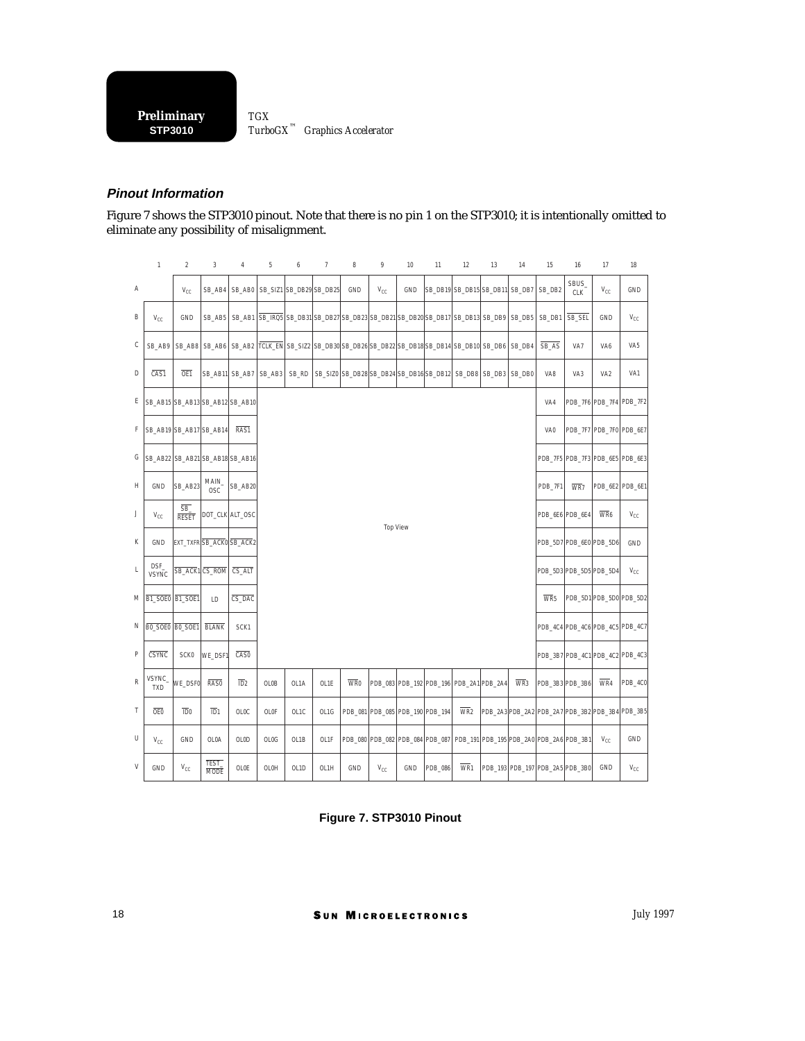#### **Pinout Information**

Figure 7 shows the STP3010 pinout. Note that there is no pin 1 on the STP3010; it is intentionally omitted to eliminate any possibility of misalignment.

|   | $\mathbf{1}$                    | $\overline{2}$         | $\overline{3}$       | $\sqrt{4}$       | 5      | 6     | $\overline{7}$                                                                         | 8                | 9        | 10                              | 11      | 12                                                           | 13 | 14     | 15                                              | 16                 | 17                              | 18                                  |
|---|---------------------------------|------------------------|----------------------|------------------|--------|-------|----------------------------------------------------------------------------------------|------------------|----------|---------------------------------|---------|--------------------------------------------------------------|----|--------|-------------------------------------------------|--------------------|---------------------------------|-------------------------------------|
| Α |                                 | $V_{CC}$               | SB_AB4               | SB_AB0           |        |       | SB_SIZ1 SB_DB29 SB_DB25                                                                | GND              | $V_{CC}$ | GND                             |         | SB_DB19 SB_DB15 SB_DB11 SB_DB7                               |    |        | SB_DB2                                          | SBUS<br><b>CLK</b> | $V_{CC}$                        | GND                                 |
| B | $V_{CC}$                        | GND                    | SB_AB5               |                  |        |       | SB_AB1 SB_IRQ5 SB_DB31 SB_DB27 SB_DB23 SB_DB21 SB_DB20 SB_DB17 SB_DB13 SB_DB9 SB_DB5   |                  |          |                                 |         |                                                              |    |        | SB_DB1                                          | SB SEL             | GND                             | $V_{CC}$                            |
| С | SB_AB9                          | SB_AB8                 | SB_AB6               |                  |        |       | SB_AB2  TCLK_EN SB_SIZ2  SB_DB30  SB_DB26  SB_DB22  SB_DB18  SB_DB14  SB_DB10   SB_DB6 |                  |          |                                 |         |                                                              |    | SB_DB4 | $SB_AS$                                         | VA7                | VA <sub>6</sub>                 | VA <sub>5</sub>                     |
| D | $\overline{CAS1}$               | OE1                    |                      | SB_AB11 SB_AB7   | SB_AB3 | SB_RD |                                                                                        |                  |          |                                 |         | SB SIZO SB DB28 SB DB24 SB DB16 SB DB12 SB DB8 SB DB3 SB DB0 |    |        | VA8                                             | VA3                | VA <sub>2</sub>                 | VA1                                 |
| Ε | SB_AB15 SB_AB13 SB_AB12 SB_AB10 |                        |                      |                  |        |       |                                                                                        |                  |          |                                 |         |                                                              |    |        | VA4                                             |                    | PDB_7F6 PDB_7F4 PDB_7F2         |                                     |
| F | SB_AB19 SB_AB17 SB_AB14         |                        |                      | RAS1             |        |       |                                                                                        |                  |          |                                 |         |                                                              |    |        | VA0                                             |                    | PDB_7F7 PDB_7F0 PDB_6E7         |                                     |
| G | SB_AB22 SB_AB21 SB_AB18 SB_AB16 |                        |                      |                  |        |       |                                                                                        |                  |          |                                 |         |                                                              |    |        |                                                 |                    | PDB_7F5 PDB_7F3 PDB_6E5 PDB_6E3 |                                     |
| н | <b>GND</b>                      | SB_AB23                | MAIN.<br><b>OSC</b>  | SB_AB20          |        |       |                                                                                        |                  |          |                                 |         |                                                              |    |        | PDB_7F1                                         | WR7                | PDB_6E2 PDB_6E1                 |                                     |
| J | $V_{CC}$                        | SB_<br><b>RESET</b>    |                      | DOT_CLK ALT_OSC  |        |       |                                                                                        |                  |          |                                 |         |                                                              |    |        | PDB 6E6 PDB 6E4                                 |                    | WR <sub>6</sub>                 | $\mathsf{V}_{\mathbb{C}\mathbb{C}}$ |
| К | <b>GND</b>                      | EXT_TXFRSB_ACK0SB_ACK2 |                      |                  |        |       |                                                                                        |                  |          | <b>Top View</b>                 |         |                                                              |    |        |                                                 |                    | PDB_5D7 PDB_6E0 PDB_5D6         | GND                                 |
| L | DSF_<br><b>VSYNC</b>            | SB_ACK1 CS_ROM         |                      | CS_ALT           |        |       |                                                                                        |                  |          |                                 |         |                                                              |    |        | PDB_5D3 PDB_5D5 PDB_5D4                         |                    |                                 | $V_{CC}$                            |
| M | B1 SOE0 B1 SOE1                 |                        | LD                   | CS_DAC           |        |       |                                                                                        |                  |          |                                 |         |                                                              |    |        | WR <sub>5</sub>                                 |                    |                                 | PDB_5D1 PDB_5D0 PDB_5D2             |
| Ν | BO SOEO BO SOE1                 |                        | <b>BLANK</b>         | SCK1             |        |       |                                                                                        |                  |          |                                 |         |                                                              |    |        |                                                 |                    |                                 | PDB_4C4 PDB_4C6 PDB_4C5 PDB_4C7     |
| P | CSYNC                           | <b>SCK0</b>            | WE_DSF1              | CAS0             |        |       |                                                                                        |                  |          |                                 |         |                                                              |    |        |                                                 |                    |                                 | PDB_3B7 PDB_4C1 PDB_4C2 PDB_4C3     |
| R | VSYNC_<br><b>TXD</b>            | WE_DSF0                | RAS0                 | $\overline{1D}2$ | OL0B   | OL1A  | OL1E                                                                                   | W <sub>R</sub> o |          |                                 |         | PDB_083 PDB_192 PDB_196 PDB_2A1 PDB_2A4                      |    | WR3    | PDB_3B3 PDB_3B6                                 |                    | WR4                             | PDB_4C0                             |
| Τ | OE0                             | $\overline{10}0$       | $\overline{1D}1$     | OLOC             | OL0F   | OL1C  | OL1G                                                                                   |                  |          | PDB_081 PDB_085 PDB_190 PDB_194 |         | $\overline{\text{WR}}$                                       |    |        | PDB_2A3 PDB_2A2 PDB_2A7 PDB_3B2 PDB_3B4 PDB_3B5 |                    |                                 |                                     |
| U | $V_{CC}$                        | GND                    | OL0A                 | <b>OLOD</b>      | OL0G   | OL1B  | OL1F                                                                                   |                  |          | PDB_080 PDB_082 PDB_084 PDB_087 |         |                                                              |    |        | PDB_191 PDB_195 PDB_2A0 PDB_2A6 PDB_3B1         |                    | $V_{CC}$                        | GND                                 |
| V | GND                             | $V_{CC}$               | TEST_<br><b>MODE</b> | OLOE             | OL0H   | OL1D  | OL1H                                                                                   | GND              | $V_{CC}$ | GND                             | PDB_086 | WR <sub>1</sub>                                              |    |        | PDB_193 PDB_197 PDB_2A5 PDB_3B0                 |                    | GND                             | $V_{CC}$                            |

**Figure 7. STP3010 Pinout**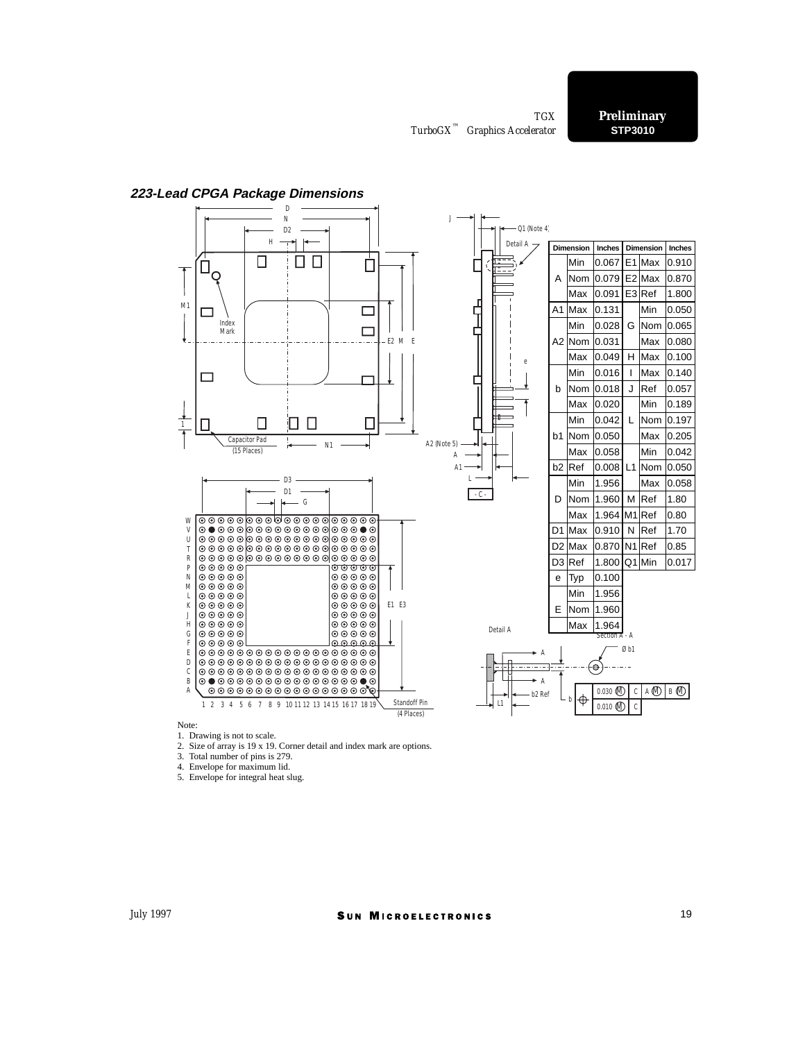

#### **223-Lead CPGA Package Dimensions**

Note:

1. Drawing is not to scale.

2. Size of array is 19 x 19. Corner detail and index mark are options.

3. Total number of pins is 279.

4. Envelope for maximum lid.

5. Envelope for integral heat slug.